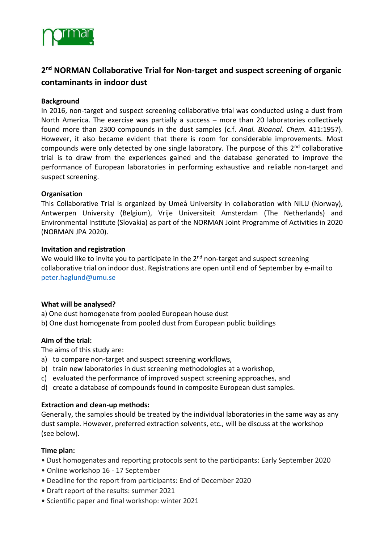

# **2 nd NORMAN Collaborative Trial for Non-target and suspect screening of organic contaminants in indoor dust**

## **Background**

In 2016, non-target and suspect screening collaborative trial was conducted using a dust from North America. The exercise was partially a success – more than 20 laboratories collectively found more than 2300 compounds in the dust samples (c.f. *Anal. Bioanal. Chem.* 411:1957). However, it also became evident that there is room for considerable improvements. Most compounds were only detected by one single laboratory. The purpose of this  $2<sup>nd</sup>$  collaborative trial is to draw from the experiences gained and the database generated to improve the performance of European laboratories in performing exhaustive and reliable non-target and suspect screening.

### **Organisation**

This Collaborative Trial is organized by Umeå University in collaboration with NILU (Norway), Antwerpen University (Belgium), Vrije Universiteit Amsterdam (The Netherlands) and Environmental Institute (Slovakia) as part of the NORMAN Joint Programme of Activities in 2020 (NORMAN JPA 2020).

#### **Invitation and registration**

We would like to invite you to participate in the  $2<sup>nd</sup>$  non-target and suspect screening collaborative trial on indoor dust. Registrations are open until end of September by e-mail to [peter.haglund@umu.se](mailto:peter.haglund@umu.se)

### **What will be analysed?**

- a) One dust homogenate from pooled European house dust
- b) One dust homogenate from pooled dust from European public buildings

### **Aim of the trial:**

The aims of this study are:

- a) to compare non-target and suspect screening workflows,
- b) train new laboratories in dust screening methodologies at a workshop,
- c) evaluated the performance of improved suspect screening approaches, and
- d) create a database of compounds found in composite European dust samples.

### **Extraction and clean-up methods:**

Generally, the samples should be treated by the individual laboratories in the same way as any dust sample. However, preferred extraction solvents, etc., will be discuss at the workshop (see below).

### **Time plan:**

- Dust homogenates and reporting protocols sent to the participants: Early September 2020
- Online workshop 16 17 September
- Deadline for the report from participants: End of December 2020
- Draft report of the results: summer 2021
- Scientific paper and final workshop: winter 2021